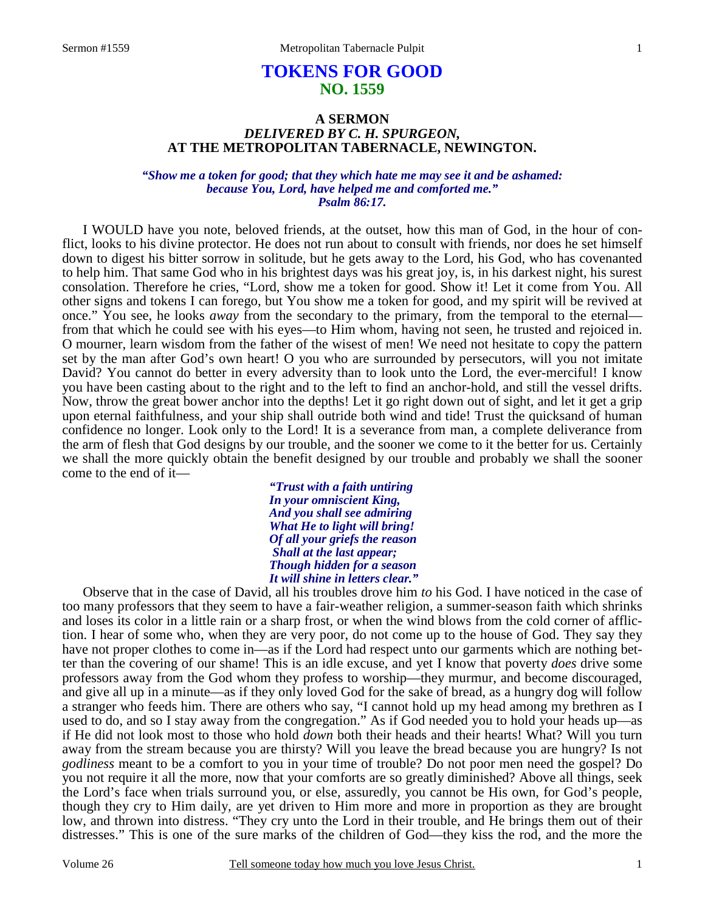# **TOKENS FOR GOOD NO. 1559**

# **A SERMON** *DELIVERED BY C. H. SPURGEON,*  **AT THE METROPOLITAN TABERNACLE, NEWINGTON.**

*"Show me a token for good; that they which hate me may see it and be ashamed: because You, Lord, have helped me and comforted me." Psalm 86:17.* 

I WOULD have you note, beloved friends, at the outset, how this man of God, in the hour of conflict, looks to his divine protector. He does not run about to consult with friends, nor does he set himself down to digest his bitter sorrow in solitude, but he gets away to the Lord, his God, who has covenanted to help him. That same God who in his brightest days was his great joy, is, in his darkest night, his surest consolation. Therefore he cries, "Lord, show me a token for good. Show it! Let it come from You. All other signs and tokens I can forego, but You show me a token for good, and my spirit will be revived at once." You see, he looks *away* from the secondary to the primary, from the temporal to the eternal from that which he could see with his eyes—to Him whom, having not seen, he trusted and rejoiced in. O mourner, learn wisdom from the father of the wisest of men! We need not hesitate to copy the pattern set by the man after God's own heart! O you who are surrounded by persecutors, will you not imitate David? You cannot do better in every adversity than to look unto the Lord, the ever-merciful! I know you have been casting about to the right and to the left to find an anchor-hold, and still the vessel drifts. Now, throw the great bower anchor into the depths! Let it go right down out of sight, and let it get a grip upon eternal faithfulness, and your ship shall outride both wind and tide! Trust the quicksand of human confidence no longer. Look only to the Lord! It is a severance from man, a complete deliverance from the arm of flesh that God designs by our trouble, and the sooner we come to it the better for us. Certainly we shall the more quickly obtain the benefit designed by our trouble and probably we shall the sooner come to the end of it—

> *"Trust with a faith untiring In your omniscient King, And you shall see admiring What He to light will bring! Of all your griefs the reason Shall at the last appear; Though hidden for a season It will shine in letters clear."*

 Observe that in the case of David, all his troubles drove him *to* his God. I have noticed in the case of too many professors that they seem to have a fair-weather religion, a summer-season faith which shrinks and loses its color in a little rain or a sharp frost, or when the wind blows from the cold corner of affliction. I hear of some who, when they are very poor, do not come up to the house of God. They say they have not proper clothes to come in—as if the Lord had respect unto our garments which are nothing better than the covering of our shame! This is an idle excuse, and yet I know that poverty *does* drive some professors away from the God whom they profess to worship—they murmur, and become discouraged, and give all up in a minute—as if they only loved God for the sake of bread, as a hungry dog will follow a stranger who feeds him. There are others who say, "I cannot hold up my head among my brethren as I used to do, and so I stay away from the congregation." As if God needed you to hold your heads up—as if He did not look most to those who hold *down* both their heads and their hearts! What? Will you turn away from the stream because you are thirsty? Will you leave the bread because you are hungry? Is not *godliness* meant to be a comfort to you in your time of trouble? Do not poor men need the gospel? Do you not require it all the more, now that your comforts are so greatly diminished? Above all things, seek the Lord's face when trials surround you, or else, assuredly, you cannot be His own, for God's people, though they cry to Him daily, are yet driven to Him more and more in proportion as they are brought low, and thrown into distress. "They cry unto the Lord in their trouble, and He brings them out of their distresses." This is one of the sure marks of the children of God—they kiss the rod, and the more the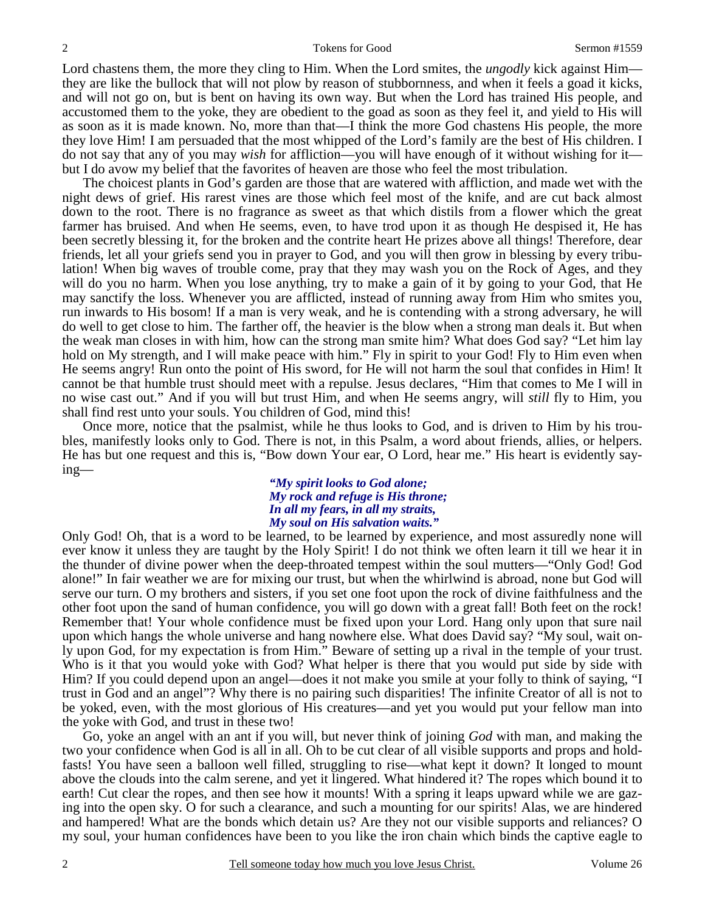Lord chastens them, the more they cling to Him. When the Lord smites, the *ungodly* kick against Him they are like the bullock that will not plow by reason of stubbornness, and when it feels a goad it kicks, and will not go on, but is bent on having its own way. But when the Lord has trained His people, and accustomed them to the yoke, they are obedient to the goad as soon as they feel it, and yield to His will as soon as it is made known. No, more than that—I think the more God chastens His people, the more they love Him! I am persuaded that the most whipped of the Lord's family are the best of His children. I do not say that any of you may *wish* for affliction—you will have enough of it without wishing for it but I do avow my belief that the favorites of heaven are those who feel the most tribulation.

 The choicest plants in God's garden are those that are watered with affliction, and made wet with the night dews of grief. His rarest vines are those which feel most of the knife, and are cut back almost down to the root. There is no fragrance as sweet as that which distils from a flower which the great farmer has bruised. And when He seems, even, to have trod upon it as though He despised it, He has been secretly blessing it, for the broken and the contrite heart He prizes above all things! Therefore, dear friends, let all your griefs send you in prayer to God, and you will then grow in blessing by every tribulation! When big waves of trouble come, pray that they may wash you on the Rock of Ages, and they will do you no harm. When you lose anything, try to make a gain of it by going to your God, that He may sanctify the loss. Whenever you are afflicted, instead of running away from Him who smites you, run inwards to His bosom! If a man is very weak, and he is contending with a strong adversary, he will do well to get close to him. The farther off, the heavier is the blow when a strong man deals it. But when the weak man closes in with him, how can the strong man smite him? What does God say? "Let him lay hold on My strength, and I will make peace with him." Fly in spirit to your God! Fly to Him even when He seems angry! Run onto the point of His sword, for He will not harm the soul that confides in Him! It cannot be that humble trust should meet with a repulse. Jesus declares, "Him that comes to Me I will in no wise cast out." And if you will but trust Him, and when He seems angry, will *still* fly to Him, you shall find rest unto your souls. You children of God, mind this!

 Once more, notice that the psalmist, while he thus looks to God, and is driven to Him by his troubles, manifestly looks only to God. There is not, in this Psalm, a word about friends, allies, or helpers. He has but one request and this is, "Bow down Your ear, O Lord, hear me." His heart is evidently saying—

## *"My spirit looks to God alone; My rock and refuge is His throne; In all my fears, in all my straits, My soul on His salvation waits."*

Only God! Oh, that is a word to be learned, to be learned by experience, and most assuredly none will ever know it unless they are taught by the Holy Spirit! I do not think we often learn it till we hear it in the thunder of divine power when the deep-throated tempest within the soul mutters—"Only God! God alone!" In fair weather we are for mixing our trust, but when the whirlwind is abroad, none but God will serve our turn. O my brothers and sisters, if you set one foot upon the rock of divine faithfulness and the other foot upon the sand of human confidence, you will go down with a great fall! Both feet on the rock! Remember that! Your whole confidence must be fixed upon your Lord. Hang only upon that sure nail upon which hangs the whole universe and hang nowhere else. What does David say? "My soul, wait only upon God, for my expectation is from Him." Beware of setting up a rival in the temple of your trust. Who is it that you would yoke with God? What helper is there that you would put side by side with Him? If you could depend upon an angel—does it not make you smile at your folly to think of saying, "I trust in God and an angel"? Why there is no pairing such disparities! The infinite Creator of all is not to be yoked, even, with the most glorious of His creatures—and yet you would put your fellow man into the yoke with God, and trust in these two!

 Go, yoke an angel with an ant if you will, but never think of joining *God* with man, and making the two your confidence when God is all in all. Oh to be cut clear of all visible supports and props and holdfasts! You have seen a balloon well filled, struggling to rise—what kept it down? It longed to mount above the clouds into the calm serene, and yet it lingered. What hindered it? The ropes which bound it to earth! Cut clear the ropes, and then see how it mounts! With a spring it leaps upward while we are gazing into the open sky. O for such a clearance, and such a mounting for our spirits! Alas, we are hindered and hampered! What are the bonds which detain us? Are they not our visible supports and reliances? O my soul, your human confidences have been to you like the iron chain which binds the captive eagle to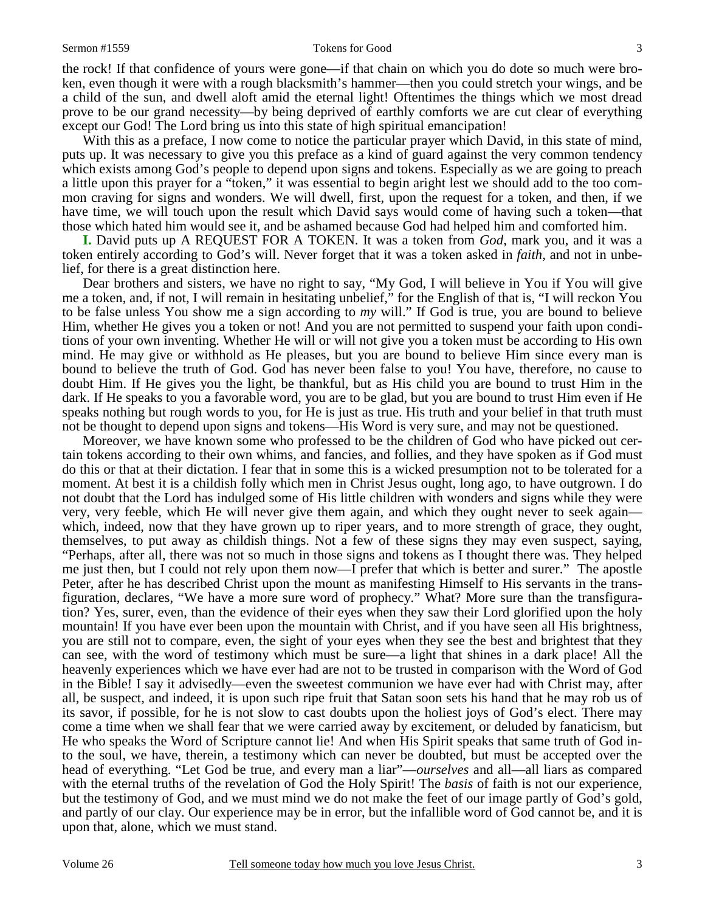#### Sermon #1559 **Sermon #1559** Tokens for Good 3

the rock! If that confidence of yours were gone—if that chain on which you do dote so much were broken, even though it were with a rough blacksmith's hammer—then you could stretch your wings, and be a child of the sun, and dwell aloft amid the eternal light! Oftentimes the things which we most dread prove to be our grand necessity—by being deprived of earthly comforts we are cut clear of everything except our God! The Lord bring us into this state of high spiritual emancipation!

With this as a preface, I now come to notice the particular prayer which David, in this state of mind, puts up. It was necessary to give you this preface as a kind of guard against the very common tendency which exists among God's people to depend upon signs and tokens. Especially as we are going to preach a little upon this prayer for a "token," it was essential to begin aright lest we should add to the too common craving for signs and wonders. We will dwell, first, upon the request for a token, and then, if we have time, we will touch upon the result which David says would come of having such a token—that those which hated him would see it, and be ashamed because God had helped him and comforted him.

**I.** David puts up A REQUEST FOR A TOKEN. It was a token from *God*, mark you, and it was a token entirely according to God's will. Never forget that it was a token asked in *faith,* and not in unbelief, for there is a great distinction here.

 Dear brothers and sisters, we have no right to say, "My God, I will believe in You if You will give me a token, and, if not, I will remain in hesitating unbelief," for the English of that is, "I will reckon You to be false unless You show me a sign according to *my* will." If God is true, you are bound to believe Him, whether He gives you a token or not! And you are not permitted to suspend your faith upon conditions of your own inventing. Whether He will or will not give you a token must be according to His own mind. He may give or withhold as He pleases, but you are bound to believe Him since every man is bound to believe the truth of God. God has never been false to you! You have, therefore, no cause to doubt Him. If He gives you the light, be thankful, but as His child you are bound to trust Him in the dark. If He speaks to you a favorable word, you are to be glad, but you are bound to trust Him even if He speaks nothing but rough words to you, for He is just as true. His truth and your belief in that truth must not be thought to depend upon signs and tokens—His Word is very sure, and may not be questioned.

 Moreover, we have known some who professed to be the children of God who have picked out certain tokens according to their own whims, and fancies, and follies, and they have spoken as if God must do this or that at their dictation. I fear that in some this is a wicked presumption not to be tolerated for a moment. At best it is a childish folly which men in Christ Jesus ought, long ago, to have outgrown. I do not doubt that the Lord has indulged some of His little children with wonders and signs while they were very, very feeble, which He will never give them again, and which they ought never to seek again which, indeed, now that they have grown up to riper years, and to more strength of grace, they ought, themselves, to put away as childish things. Not a few of these signs they may even suspect, saying, "Perhaps, after all, there was not so much in those signs and tokens as I thought there was. They helped me just then, but I could not rely upon them now—I prefer that which is better and surer." The apostle Peter, after he has described Christ upon the mount as manifesting Himself to His servants in the transfiguration, declares, "We have a more sure word of prophecy." What? More sure than the transfiguration? Yes, surer, even, than the evidence of their eyes when they saw their Lord glorified upon the holy mountain! If you have ever been upon the mountain with Christ, and if you have seen all His brightness, you are still not to compare, even, the sight of your eyes when they see the best and brightest that they can see, with the word of testimony which must be sure—a light that shines in a dark place! All the heavenly experiences which we have ever had are not to be trusted in comparison with the Word of God in the Bible! I say it advisedly—even the sweetest communion we have ever had with Christ may, after all, be suspect, and indeed, it is upon such ripe fruit that Satan soon sets his hand that he may rob us of its savor, if possible, for he is not slow to cast doubts upon the holiest joys of God's elect. There may come a time when we shall fear that we were carried away by excitement, or deluded by fanaticism, but He who speaks the Word of Scripture cannot lie! And when His Spirit speaks that same truth of God into the soul, we have, therein, a testimony which can never be doubted, but must be accepted over the head of everything. "Let God be true, and every man a liar"—*ourselves* and all—all liars as compared with the eternal truths of the revelation of God the Holy Spirit! The *basis* of faith is not our experience, but the testimony of God, and we must mind we do not make the feet of our image partly of God's gold, and partly of our clay. Our experience may be in error, but the infallible word of God cannot be, and it is upon that, alone, which we must stand.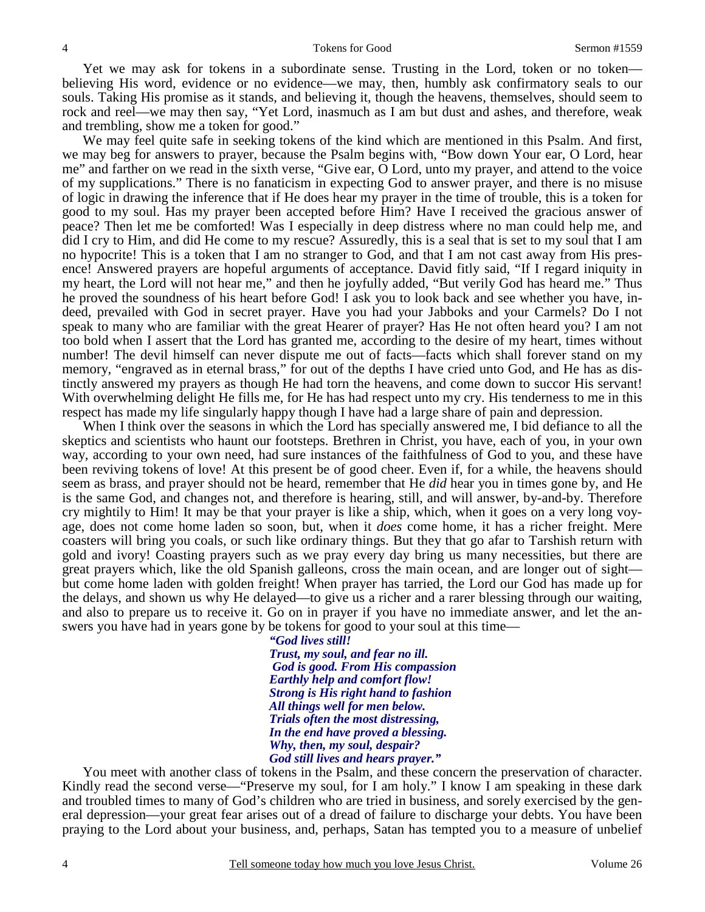Yet we may ask for tokens in a subordinate sense. Trusting in the Lord, token or no token believing His word, evidence or no evidence—we may, then, humbly ask confirmatory seals to our souls. Taking His promise as it stands, and believing it, though the heavens, themselves, should seem to rock and reel—we may then say, "Yet Lord, inasmuch as I am but dust and ashes, and therefore, weak and trembling, show me a token for good."

 We may feel quite safe in seeking tokens of the kind which are mentioned in this Psalm. And first, we may beg for answers to prayer, because the Psalm begins with, "Bow down Your ear, O Lord, hear me" and farther on we read in the sixth verse, "Give ear, O Lord, unto my prayer, and attend to the voice of my supplications." There is no fanaticism in expecting God to answer prayer, and there is no misuse of logic in drawing the inference that if He does hear my prayer in the time of trouble, this is a token for good to my soul. Has my prayer been accepted before Him? Have I received the gracious answer of peace? Then let me be comforted! Was I especially in deep distress where no man could help me, and did I cry to Him, and did He come to my rescue? Assuredly, this is a seal that is set to my soul that I am no hypocrite! This is a token that I am no stranger to God, and that I am not cast away from His presence! Answered prayers are hopeful arguments of acceptance. David fitly said, "If I regard iniquity in my heart, the Lord will not hear me," and then he joyfully added, "But verily God has heard me." Thus he proved the soundness of his heart before God! I ask you to look back and see whether you have, indeed, prevailed with God in secret prayer. Have you had your Jabboks and your Carmels? Do I not speak to many who are familiar with the great Hearer of prayer? Has He not often heard you? I am not too bold when I assert that the Lord has granted me, according to the desire of my heart, times without number! The devil himself can never dispute me out of facts—facts which shall forever stand on my memory, "engraved as in eternal brass," for out of the depths I have cried unto God, and He has as distinctly answered my prayers as though He had torn the heavens, and come down to succor His servant! With overwhelming delight He fills me, for He has had respect unto my cry. His tenderness to me in this respect has made my life singularly happy though I have had a large share of pain and depression.

 When I think over the seasons in which the Lord has specially answered me, I bid defiance to all the skeptics and scientists who haunt our footsteps. Brethren in Christ, you have, each of you, in your own way, according to your own need, had sure instances of the faithfulness of God to you, and these have been reviving tokens of love! At this present be of good cheer. Even if, for a while, the heavens should seem as brass, and prayer should not be heard, remember that He *did* hear you in times gone by, and He is the same God, and changes not, and therefore is hearing, still, and will answer, by-and-by. Therefore cry mightily to Him! It may be that your prayer is like a ship, which, when it goes on a very long voyage, does not come home laden so soon, but, when it *does* come home, it has a richer freight. Mere coasters will bring you coals, or such like ordinary things. But they that go afar to Tarshish return with gold and ivory! Coasting prayers such as we pray every day bring us many necessities, but there are great prayers which, like the old Spanish galleons, cross the main ocean, and are longer out of sight but come home laden with golden freight! When prayer has tarried, the Lord our God has made up for the delays, and shown us why He delayed—to give us a richer and a rarer blessing through our waiting, and also to prepare us to receive it. Go on in prayer if you have no immediate answer, and let the answers you have had in years gone by be tokens for good to your soul at this time—

> *"God lives still! Trust, my soul, and fear no ill. God is good. From His compassion Earthly help and comfort flow! Strong is His right hand to fashion All things well for men below. Trials often the most distressing, In the end have proved a blessing. Why, then, my soul, despair? God still lives and hears prayer."*

 You meet with another class of tokens in the Psalm, and these concern the preservation of character. Kindly read the second verse—"Preserve my soul, for I am holy." I know I am speaking in these dark and troubled times to many of God's children who are tried in business, and sorely exercised by the general depression—your great fear arises out of a dread of failure to discharge your debts. You have been praying to the Lord about your business, and, perhaps, Satan has tempted you to a measure of unbelief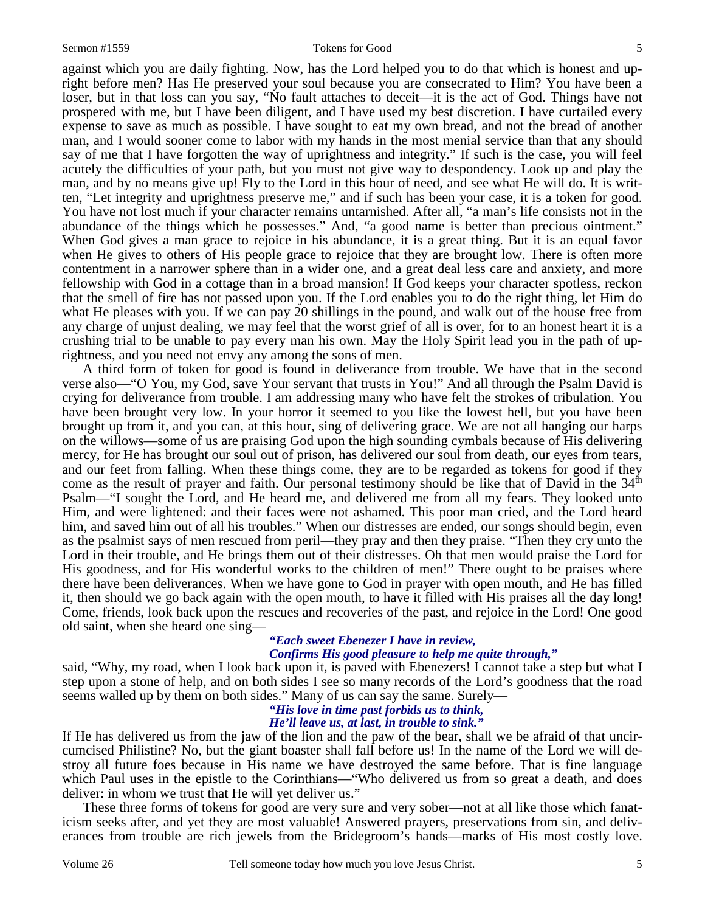against which you are daily fighting. Now, has the Lord helped you to do that which is honest and upright before men? Has He preserved your soul because you are consecrated to Him? You have been a loser, but in that loss can you say, "No fault attaches to deceit—it is the act of God. Things have not prospered with me, but I have been diligent, and I have used my best discretion. I have curtailed every expense to save as much as possible. I have sought to eat my own bread, and not the bread of another man, and I would sooner come to labor with my hands in the most menial service than that any should say of me that I have forgotten the way of uprightness and integrity." If such is the case, you will feel acutely the difficulties of your path, but you must not give way to despondency. Look up and play the man, and by no means give up! Fly to the Lord in this hour of need, and see what He will do. It is written, "Let integrity and uprightness preserve me," and if such has been your case, it is a token for good. You have not lost much if your character remains untarnished. After all, "a man's life consists not in the abundance of the things which he possesses." And, "a good name is better than precious ointment." When God gives a man grace to rejoice in his abundance, it is a great thing. But it is an equal favor when He gives to others of His people grace to rejoice that they are brought low. There is often more contentment in a narrower sphere than in a wider one, and a great deal less care and anxiety, and more fellowship with God in a cottage than in a broad mansion! If God keeps your character spotless, reckon that the smell of fire has not passed upon you. If the Lord enables you to do the right thing, let Him do what He pleases with you. If we can pay 20 shillings in the pound, and walk out of the house free from any charge of unjust dealing, we may feel that the worst grief of all is over, for to an honest heart it is a crushing trial to be unable to pay every man his own. May the Holy Spirit lead you in the path of uprightness, and you need not envy any among the sons of men.

 A third form of token for good is found in deliverance from trouble. We have that in the second verse also—"O You, my God, save Your servant that trusts in You!" And all through the Psalm David is crying for deliverance from trouble. I am addressing many who have felt the strokes of tribulation. You have been brought very low. In your horror it seemed to you like the lowest hell, but you have been brought up from it, and you can, at this hour, sing of delivering grace. We are not all hanging our harps on the willows—some of us are praising God upon the high sounding cymbals because of His delivering mercy, for He has brought our soul out of prison, has delivered our soul from death, our eyes from tears, and our feet from falling. When these things come, they are to be regarded as tokens for good if they come as the result of prayer and faith. Our personal testimony should be like that of David in the  $34<sup>th</sup>$ Psalm—"I sought the Lord, and He heard me, and delivered me from all my fears. They looked unto Him, and were lightened: and their faces were not ashamed. This poor man cried, and the Lord heard him, and saved him out of all his troubles." When our distresses are ended, our songs should begin, even as the psalmist says of men rescued from peril—they pray and then they praise. "Then they cry unto the Lord in their trouble, and He brings them out of their distresses. Oh that men would praise the Lord for His goodness, and for His wonderful works to the children of men!" There ought to be praises where there have been deliverances. When we have gone to God in prayer with open mouth, and He has filled it, then should we go back again with the open mouth, to have it filled with His praises all the day long! Come, friends, look back upon the rescues and recoveries of the past, and rejoice in the Lord! One good old saint, when she heard one sing—

### *"Each sweet Ebenezer I have in review, Confirms His good pleasure to help me quite through,"*

said, "Why, my road, when I look back upon it, is paved with Ebenezers! I cannot take a step but what I step upon a stone of help, and on both sides I see so many records of the Lord's goodness that the road seems walled up by them on both sides." Many of us can say the same. Surely—

# *"His love in time past forbids us to think,*

*He'll leave us, at last, in trouble to sink."* 

If He has delivered us from the jaw of the lion and the paw of the bear, shall we be afraid of that uncircumcised Philistine? No, but the giant boaster shall fall before us! In the name of the Lord we will destroy all future foes because in His name we have destroyed the same before. That is fine language which Paul uses in the epistle to the Corinthians—"Who delivered us from so great a death, and does deliver: in whom we trust that He will yet deliver us."

 These three forms of tokens for good are very sure and very sober—not at all like those which fanaticism seeks after, and yet they are most valuable! Answered prayers, preservations from sin, and deliverances from trouble are rich jewels from the Bridegroom's hands—marks of His most costly love.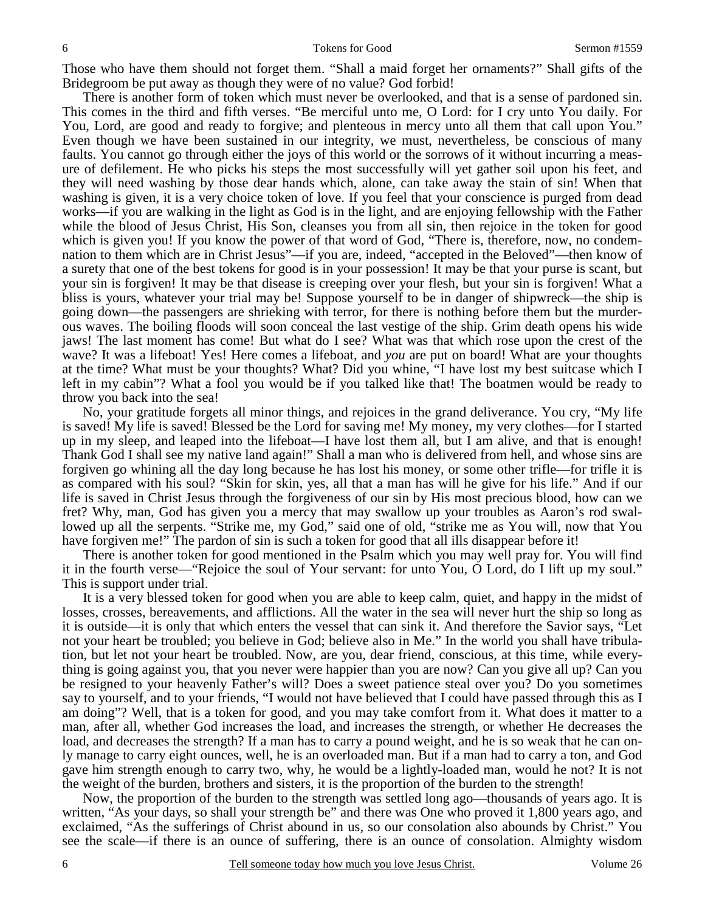Those who have them should not forget them. "Shall a maid forget her ornaments?" Shall gifts of the Bridegroom be put away as though they were of no value? God forbid!

 There is another form of token which must never be overlooked, and that is a sense of pardoned sin. This comes in the third and fifth verses. "Be merciful unto me, O Lord: for I cry unto You daily. For You, Lord, are good and ready to forgive; and plenteous in mercy unto all them that call upon You." Even though we have been sustained in our integrity, we must, nevertheless, be conscious of many faults. You cannot go through either the joys of this world or the sorrows of it without incurring a measure of defilement. He who picks his steps the most successfully will yet gather soil upon his feet, and they will need washing by those dear hands which, alone, can take away the stain of sin! When that washing is given, it is a very choice token of love. If you feel that your conscience is purged from dead works—if you are walking in the light as God is in the light, and are enjoying fellowship with the Father while the blood of Jesus Christ, His Son, cleanses you from all sin, then rejoice in the token for good which is given you! If you know the power of that word of God, "There is, therefore, now, no condemnation to them which are in Christ Jesus"—if you are, indeed, "accepted in the Beloved"—then know of a surety that one of the best tokens for good is in your possession! It may be that your purse is scant, but your sin is forgiven! It may be that disease is creeping over your flesh, but your sin is forgiven! What a bliss is yours, whatever your trial may be! Suppose yourself to be in danger of shipwreck—the ship is going down—the passengers are shrieking with terror, for there is nothing before them but the murderous waves. The boiling floods will soon conceal the last vestige of the ship. Grim death opens his wide jaws! The last moment has come! But what do I see? What was that which rose upon the crest of the wave? It was a lifeboat! Yes! Here comes a lifeboat, and *you* are put on board! What are your thoughts at the time? What must be your thoughts? What? Did you whine, "I have lost my best suitcase which I left in my cabin"? What a fool you would be if you talked like that! The boatmen would be ready to throw you back into the sea!

 No, your gratitude forgets all minor things, and rejoices in the grand deliverance. You cry, "My life is saved! My life is saved! Blessed be the Lord for saving me! My money, my very clothes—for I started up in my sleep, and leaped into the lifeboat—I have lost them all, but I am alive, and that is enough! Thank God I shall see my native land again!" Shall a man who is delivered from hell, and whose sins are forgiven go whining all the day long because he has lost his money, or some other trifle—for trifle it is as compared with his soul? "Skin for skin, yes, all that a man has will he give for his life." And if our life is saved in Christ Jesus through the forgiveness of our sin by His most precious blood, how can we fret? Why, man, God has given you a mercy that may swallow up your troubles as Aaron's rod swallowed up all the serpents. "Strike me, my God," said one of old, "strike me as You will, now that You have forgiven me!" The pardon of sin is such a token for good that all ills disappear before it!

 There is another token for good mentioned in the Psalm which you may well pray for. You will find it in the fourth verse—"Rejoice the soul of Your servant: for unto You, O Lord, do I lift up my soul." This is support under trial.

 It is a very blessed token for good when you are able to keep calm, quiet, and happy in the midst of losses, crosses, bereavements, and afflictions. All the water in the sea will never hurt the ship so long as it is outside—it is only that which enters the vessel that can sink it. And therefore the Savior says, "Let not your heart be troubled; you believe in God; believe also in Me." In the world you shall have tribulation, but let not your heart be troubled. Now, are you, dear friend, conscious, at this time, while everything is going against you, that you never were happier than you are now? Can you give all up? Can you be resigned to your heavenly Father's will? Does a sweet patience steal over you? Do you sometimes say to yourself, and to your friends, "I would not have believed that I could have passed through this as I am doing"? Well, that is a token for good, and you may take comfort from it. What does it matter to a man, after all, whether God increases the load, and increases the strength, or whether He decreases the load, and decreases the strength? If a man has to carry a pound weight, and he is so weak that he can only manage to carry eight ounces, well, he is an overloaded man. But if a man had to carry a ton, and God gave him strength enough to carry two, why, he would be a lightly-loaded man, would he not? It is not the weight of the burden, brothers and sisters, it is the proportion of the burden to the strength!

 Now, the proportion of the burden to the strength was settled long ago—thousands of years ago. It is written, "As your days, so shall your strength be" and there was One who proved it 1,800 years ago, and exclaimed, "As the sufferings of Christ abound in us, so our consolation also abounds by Christ." You see the scale—if there is an ounce of suffering, there is an ounce of consolation. Almighty wisdom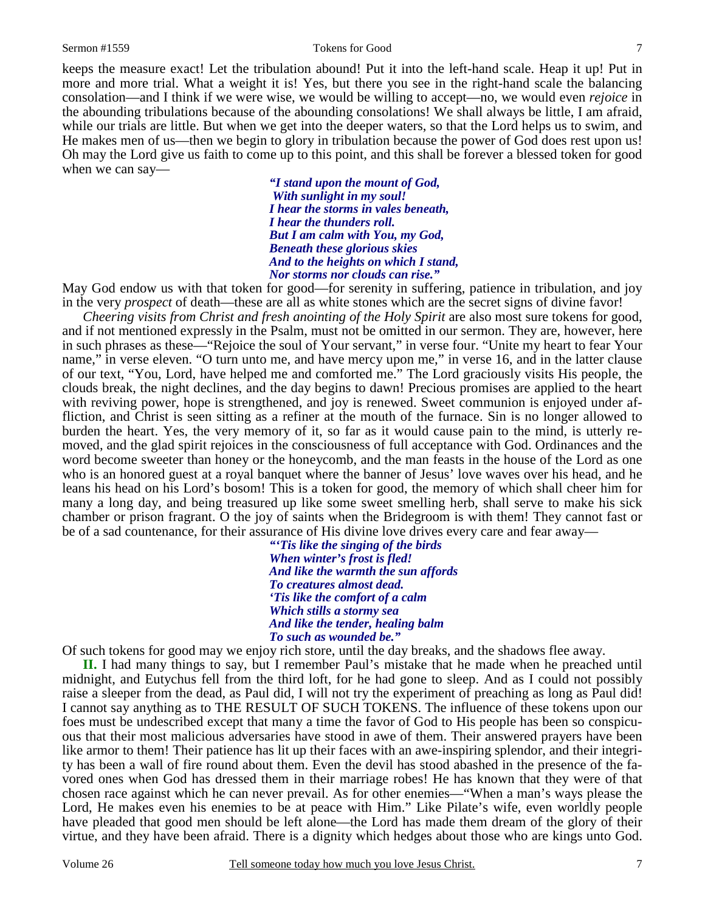### Sermon #1559 Tokens for Good 7

keeps the measure exact! Let the tribulation abound! Put it into the left-hand scale. Heap it up! Put in more and more trial. What a weight it is! Yes, but there you see in the right-hand scale the balancing consolation—and I think if we were wise, we would be willing to accept—no, we would even *rejoice* in the abounding tribulations because of the abounding consolations! We shall always be little, I am afraid, while our trials are little. But when we get into the deeper waters, so that the Lord helps us to swim, and He makes men of us—then we begin to glory in tribulation because the power of God does rest upon us! Oh may the Lord give us faith to come up to this point, and this shall be forever a blessed token for good when we can say—

> *"I stand upon the mount of God, With sunlight in my soul! I hear the storms in vales beneath, I hear the thunders roll. But I am calm with You, my God, Beneath these glorious skies And to the heights on which I stand, Nor storms nor clouds can rise."*

May God endow us with that token for good—for serenity in suffering, patience in tribulation, and joy in the very *prospect* of death—these are all as white stones which are the secret signs of divine favor!

*Cheering visits from Christ and fresh anointing of the Holy Spirit* are also most sure tokens for good, and if not mentioned expressly in the Psalm, must not be omitted in our sermon. They are, however, here in such phrases as these—"Rejoice the soul of Your servant," in verse four. "Unite my heart to fear Your name," in verse eleven. "O turn unto me, and have mercy upon me," in verse 16, and in the latter clause of our text, "You, Lord, have helped me and comforted me." The Lord graciously visits His people, the clouds break, the night declines, and the day begins to dawn! Precious promises are applied to the heart with reviving power, hope is strengthened, and joy is renewed. Sweet communion is enjoyed under affliction, and Christ is seen sitting as a refiner at the mouth of the furnace. Sin is no longer allowed to burden the heart. Yes, the very memory of it, so far as it would cause pain to the mind, is utterly removed, and the glad spirit rejoices in the consciousness of full acceptance with God. Ordinances and the word become sweeter than honey or the honeycomb, and the man feasts in the house of the Lord as one who is an honored guest at a royal banquet where the banner of Jesus' love waves over his head, and he leans his head on his Lord's bosom! This is a token for good, the memory of which shall cheer him for many a long day, and being treasured up like some sweet smelling herb, shall serve to make his sick chamber or prison fragrant. O the joy of saints when the Bridegroom is with them! They cannot fast or be of a sad countenance, for their assurance of His divine love drives every care and fear away—

> *"'Tis like the singing of the birds When winter's frost is fled! And like the warmth the sun affords To creatures almost dead. 'Tis like the comfort of a calm Which stills a stormy sea And like the tender, healing balm To such as wounded be."*

Of such tokens for good may we enjoy rich store, until the day breaks, and the shadows flee away.

**II.** I had many things to say, but I remember Paul's mistake that he made when he preached until midnight, and Eutychus fell from the third loft, for he had gone to sleep. And as I could not possibly raise a sleeper from the dead, as Paul did, I will not try the experiment of preaching as long as Paul did! I cannot say anything as to THE RESULT OF SUCH TOKENS. The influence of these tokens upon our foes must be undescribed except that many a time the favor of God to His people has been so conspicuous that their most malicious adversaries have stood in awe of them. Their answered prayers have been like armor to them! Their patience has lit up their faces with an awe-inspiring splendor, and their integrity has been a wall of fire round about them. Even the devil has stood abashed in the presence of the favored ones when God has dressed them in their marriage robes! He has known that they were of that chosen race against which he can never prevail. As for other enemies—"When a man's ways please the Lord, He makes even his enemies to be at peace with Him." Like Pilate's wife, even worldly people have pleaded that good men should be left alone—the Lord has made them dream of the glory of their virtue, and they have been afraid. There is a dignity which hedges about those who are kings unto God.